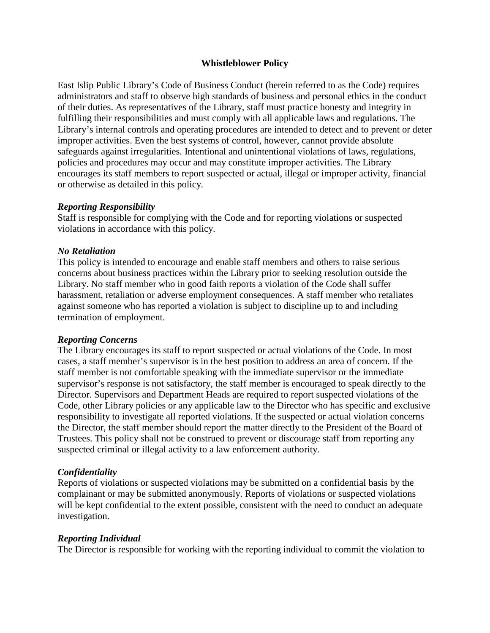### **Whistleblower Policy**

East Islip Public Library's Code of Business Conduct (herein referred to as the Code) requires administrators and staff to observe high standards of business and personal ethics in the conduct of their duties. As representatives of the Library, staff must practice honesty and integrity in fulfilling their responsibilities and must comply with all applicable laws and regulations. The Library's internal controls and operating procedures are intended to detect and to prevent or deter improper activities. Even the best systems of control, however, cannot provide absolute safeguards against irregularities. Intentional and unintentional violations of laws, regulations, policies and procedures may occur and may constitute improper activities. The Library encourages its staff members to report suspected or actual, illegal or improper activity, financial or otherwise as detailed in this policy.

### *Reporting Responsibility*

Staff is responsible for complying with the Code and for reporting violations or suspected violations in accordance with this policy.

# *No Retaliation*

This policy is intended to encourage and enable staff members and others to raise serious concerns about business practices within the Library prior to seeking resolution outside the Library. No staff member who in good faith reports a violation of the Code shall suffer harassment, retaliation or adverse employment consequences. A staff member who retaliates against someone who has reported a violation is subject to discipline up to and including termination of employment.

# *Reporting Concerns*

The Library encourages its staff to report suspected or actual violations of the Code. In most cases, a staff member's supervisor is in the best position to address an area of concern. If the staff member is not comfortable speaking with the immediate supervisor or the immediate supervisor's response is not satisfactory, the staff member is encouraged to speak directly to the Director. Supervisors and Department Heads are required to report suspected violations of the Code, other Library policies or any applicable law to the Director who has specific and exclusive responsibility to investigate all reported violations. If the suspected or actual violation concerns the Director, the staff member should report the matter directly to the President of the Board of Trustees. This policy shall not be construed to prevent or discourage staff from reporting any suspected criminal or illegal activity to a law enforcement authority.

### *Confidentiality*

Reports of violations or suspected violations may be submitted on a confidential basis by the complainant or may be submitted anonymously. Reports of violations or suspected violations will be kept confidential to the extent possible, consistent with the need to conduct an adequate investigation.

### *Reporting Individual*

The Director is responsible for working with the reporting individual to commit the violation to